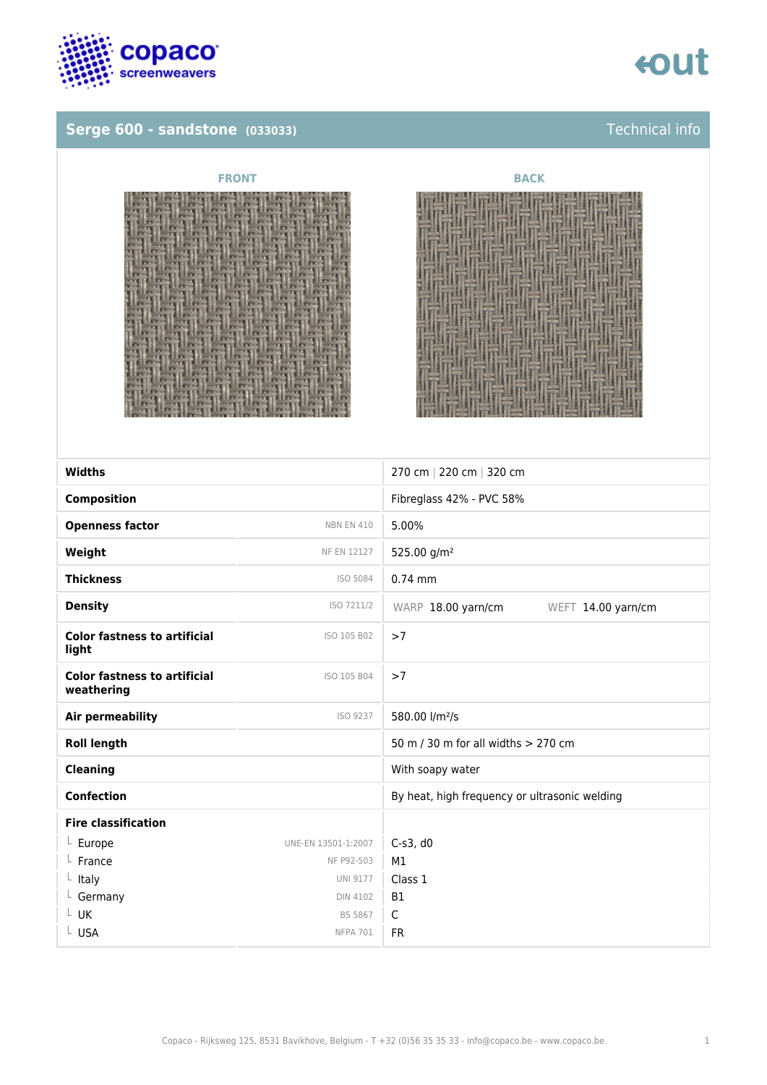

### **Serge 600 - sandstone** (033033) **Technical info**







| <b>Widths</b>                                     |                     | 270 cm   220 cm   320 cm                      |
|---------------------------------------------------|---------------------|-----------------------------------------------|
|                                                   |                     |                                               |
| <b>Composition</b>                                |                     | Fibreglass 42% - PVC 58%                      |
| <b>Openness factor</b>                            | <b>NBN EN 410</b>   | 5.00%                                         |
| Weight                                            | <b>NF EN 12127</b>  | 525.00 g/m <sup>2</sup>                       |
| <b>Thickness</b>                                  | ISO 5084            | $0.74$ mm                                     |
| <b>Density</b>                                    | ISO 7211/2          | WARP 18.00 yarn/cm<br>WEFT 14.00 yarn/cm      |
| <b>Color fastness to artificial</b><br>light      | ISO 105 B02         | >7                                            |
| <b>Color fastness to artificial</b><br>weathering | ISO 105 B04         | >7                                            |
| Air permeability                                  | ISO 9237            | 580.00 l/m <sup>2</sup> /s                    |
| <b>Roll length</b>                                |                     | 50 m / 30 m for all widths > 270 cm           |
| <b>Cleaning</b>                                   |                     | With soapy water                              |
| <b>Confection</b>                                 |                     | By heat, high frequency or ultrasonic welding |
| <b>Fire classification</b>                        |                     |                                               |
| $L$ Europe                                        | UNE-EN 13501-1:2007 | $C-s3$ , d $0$                                |
| France                                            | NF P92-503          | M1                                            |
| $L$ Italy                                         | <b>UNI 9177</b>     | Class 1                                       |
| L Germany                                         | <b>DIN 4102</b>     | <b>B1</b>                                     |
| L UK                                              | <b>BS 5867</b>      | $\mathsf{C}$                                  |
| L USA                                             | <b>NFPA 701</b>     | <b>FR</b>                                     |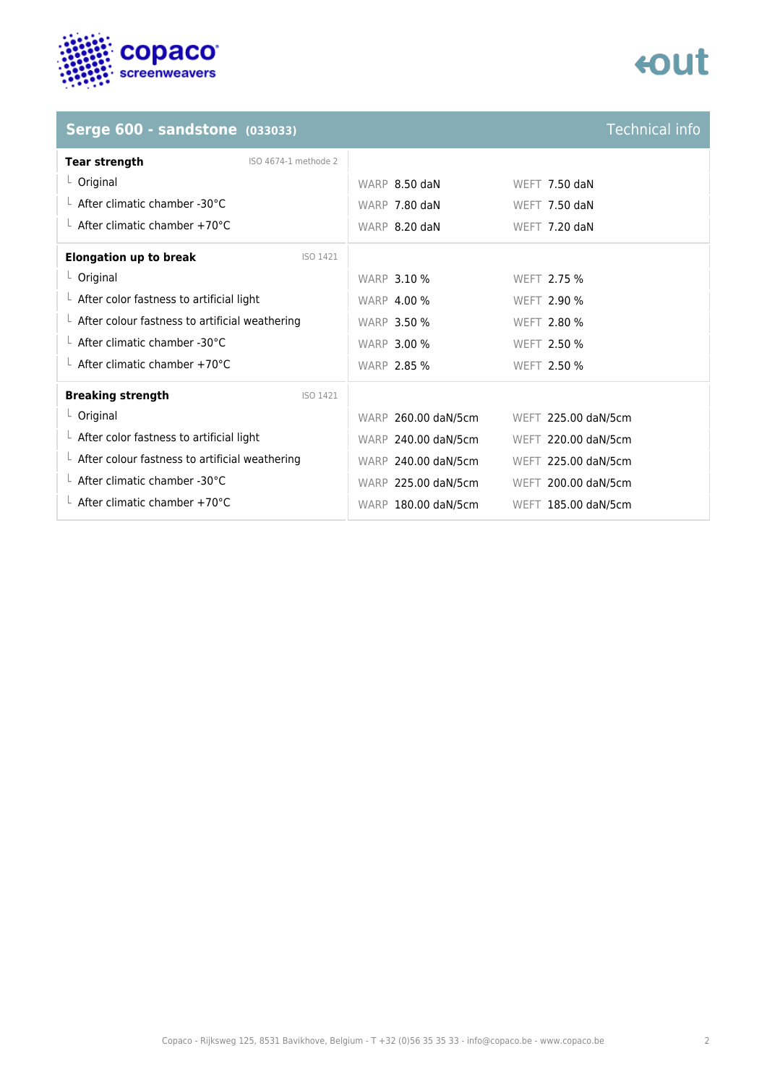

# tout

### **Serge 600 - sandstone (033033)**

| <b>Technical info</b> |  |
|-----------------------|--|
|                       |  |
|                       |  |

| <b>Tear strength</b><br>ISO 4674-1 methode 2           |                     |                      |
|--------------------------------------------------------|---------------------|----------------------|
| $L$ Original                                           | WARP 8.50 daN       | WEFT $7.50$ daN      |
| $\perp$ After climatic chamber -30°C                   | WARP 7.80 daN       | <b>WEFT 7.50 daN</b> |
| $\perp$ After climatic chamber +70°C                   | WARP 8.20 daN       | WEFT 7.20 daN        |
| <b>Elongation up to break</b><br>ISO 1421              |                     |                      |
| $L$ Original                                           | <b>WARP 3.10 %</b>  | WEFT 2.75 %          |
| $\perp$ After color fastness to artificial light       | <b>WARP 4.00 %</b>  | <b>WEFT 2.90 %</b>   |
| $\perp$ After colour fastness to artificial weathering | <b>WARP 3.50 %</b>  | WEFT 2.80 %          |
| $\perp$ After climatic chamber -30°C                   | <b>WARP 3.00 %</b>  | WEFT 2.50 %          |
| $\perp$ After climatic chamber +70°C                   | <b>WARP 2.85 %</b>  | WEFT 2.50 %          |
| <b>Breaking strength</b><br>ISO 1421                   |                     |                      |
| $L$ Original                                           | WARP 260.00 daN/5cm | WEFT 225.00 daN/5cm  |
| $\perp$ After color fastness to artificial light       | WARP 240.00 daN/5cm | WEFT 220.00 daN/5cm  |
| $\perp$ After colour fastness to artificial weathering | WARP 240.00 daN/5cm | WEFT 225.00 daN/5cm  |
| $\perp$ After climatic chamber -30°C                   | WARP 225.00 daN/5cm | WEFT 200.00 daN/5cm  |
| $\perp$ After climatic chamber +70°C                   | WARP 180.00 daN/5cm | WEFT 185.00 daN/5cm  |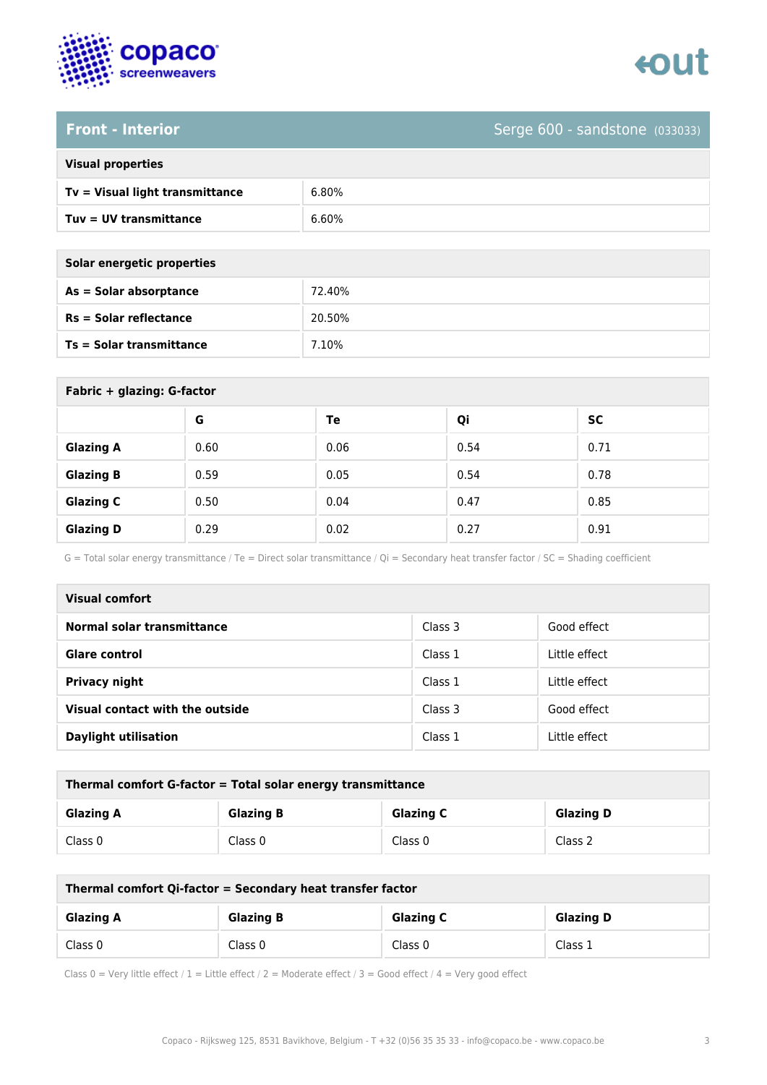



# **Front - Interior** Serge 600 - sandstone (033033)

| <b>Visual properties</b> |  |  |
|--------------------------|--|--|
|                          |  |  |

| Tv = Visual light transmittance | 6.80% |
|---------------------------------|-------|
| Tuy = UV transmittance          | 6.60% |

| Solar energetic properties |        |
|----------------------------|--------|
| As = Solar absorptance     | 72.40% |
| $Rs = Solar$ reflectance   | 20.50% |
| Ts = Solar transmittance   | 7.10%  |
|                            |        |

| Fabric + glazing: G-factor |      |      |      |      |
|----------------------------|------|------|------|------|
|                            | G    | Te   | Qi   | SC   |
| <b>Glazing A</b>           | 0.60 | 0.06 | 0.54 | 0.71 |
| <b>Glazing B</b>           | 0.59 | 0.05 | 0.54 | 0.78 |
| <b>Glazing C</b>           | 0.50 | 0.04 | 0.47 | 0.85 |
| <b>Glazing D</b>           | 0.29 | 0.02 | 0.27 | 0.91 |

G = Total solar energy transmittance / Te = Direct solar transmittance / Qi = Secondary heat transfer factor / SC = Shading coefficient

| <b>Visual comfort</b>           |         |               |
|---------------------------------|---------|---------------|
| Normal solar transmittance      | Class 3 | Good effect   |
| <b>Glare control</b>            | Class 1 | Little effect |
| <b>Privacy night</b>            | Class 1 | Little effect |
| Visual contact with the outside | Class 3 | Good effect   |
| <b>Daylight utilisation</b>     | Class 1 | Little effect |

| Thermal comfort G-factor = Total solar energy transmittance |                  |                  |                  |
|-------------------------------------------------------------|------------------|------------------|------------------|
| <b>Glazing A</b>                                            | <b>Glazing B</b> | <b>Glazing C</b> | <b>Glazing D</b> |
| Class 0                                                     | Class 0          | Class 0          | Class 2          |

| Thermal comfort Qi-factor = Secondary heat transfer factor |                  |                  |                  |
|------------------------------------------------------------|------------------|------------------|------------------|
| <b>Glazing A</b>                                           | <b>Glazing B</b> | <b>Glazing C</b> | <b>Glazing D</b> |
| Class 0                                                    | Class 0          | Class 0          | Class 1          |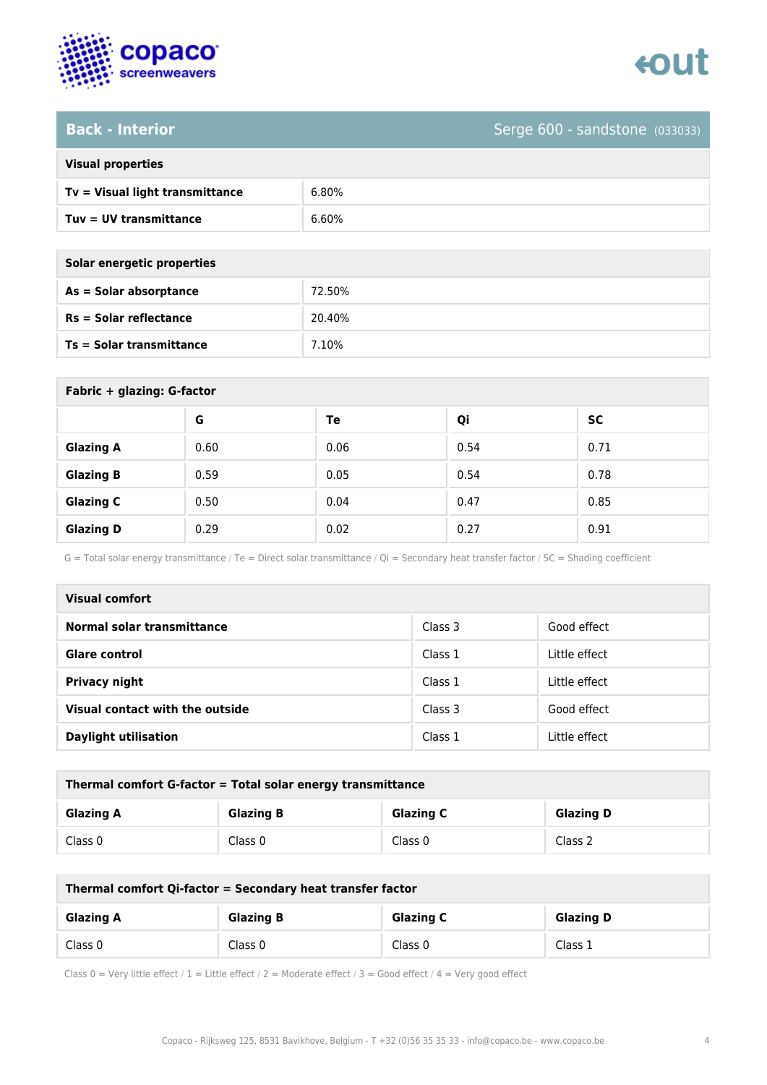

# **Back - Interior** Serge 600 - sandstone (033033)

| <b>Visual properties</b> |  |  |
|--------------------------|--|--|
|                          |  |  |

| $Tv = Visual light transmittance$ | 6.80% |
|-----------------------------------|-------|
| Tuv = UV transmittance            | 6.60% |

| Solar energetic properties |        |
|----------------------------|--------|
| As = Solar absorptance     | 72.50% |
| $Rs = Solar$ reflectance   | 20.40% |
| Ts = Solar transmittance   | 7.10%  |
|                            |        |

| Fabric + glazing: G-factor |      |      |      |           |
|----------------------------|------|------|------|-----------|
|                            | G    | Te   | Qi   | <b>SC</b> |
| <b>Glazing A</b>           | 0.60 | 0.06 | 0.54 | 0.71      |
| <b>Glazing B</b>           | 0.59 | 0.05 | 0.54 | 0.78      |
| <b>Glazing C</b>           | 0.50 | 0.04 | 0.47 | 0.85      |
| <b>Glazing D</b>           | 0.29 | 0.02 | 0.27 | 0.91      |

G = Total solar energy transmittance / Te = Direct solar transmittance / Qi = Secondary heat transfer factor / SC = Shading coefficient

| <b>Visual comfort</b>           |         |               |
|---------------------------------|---------|---------------|
| Normal solar transmittance      | Class 3 | Good effect   |
| <b>Glare control</b>            | Class 1 | Little effect |
| <b>Privacy night</b>            | Class 1 | Little effect |
| Visual contact with the outside | Class 3 | Good effect   |
| <b>Daylight utilisation</b>     | Class 1 | Little effect |

| Thermal comfort G-factor = Total solar energy transmittance |                  |                  |                  |  |
|-------------------------------------------------------------|------------------|------------------|------------------|--|
| <b>Glazing A</b>                                            | <b>Glazing B</b> | <b>Glazing C</b> | <b>Glazing D</b> |  |
| Class 0                                                     | Class 0          | Class 0          | Class 2          |  |

| Thermal comfort Qi-factor = Secondary heat transfer factor                   |         |         |         |
|------------------------------------------------------------------------------|---------|---------|---------|
| <b>Glazing C</b><br><b>Glazing B</b><br><b>Glazing D</b><br><b>Glazing A</b> |         |         |         |
| Class 0                                                                      | Class 0 | Class 0 | Class 1 |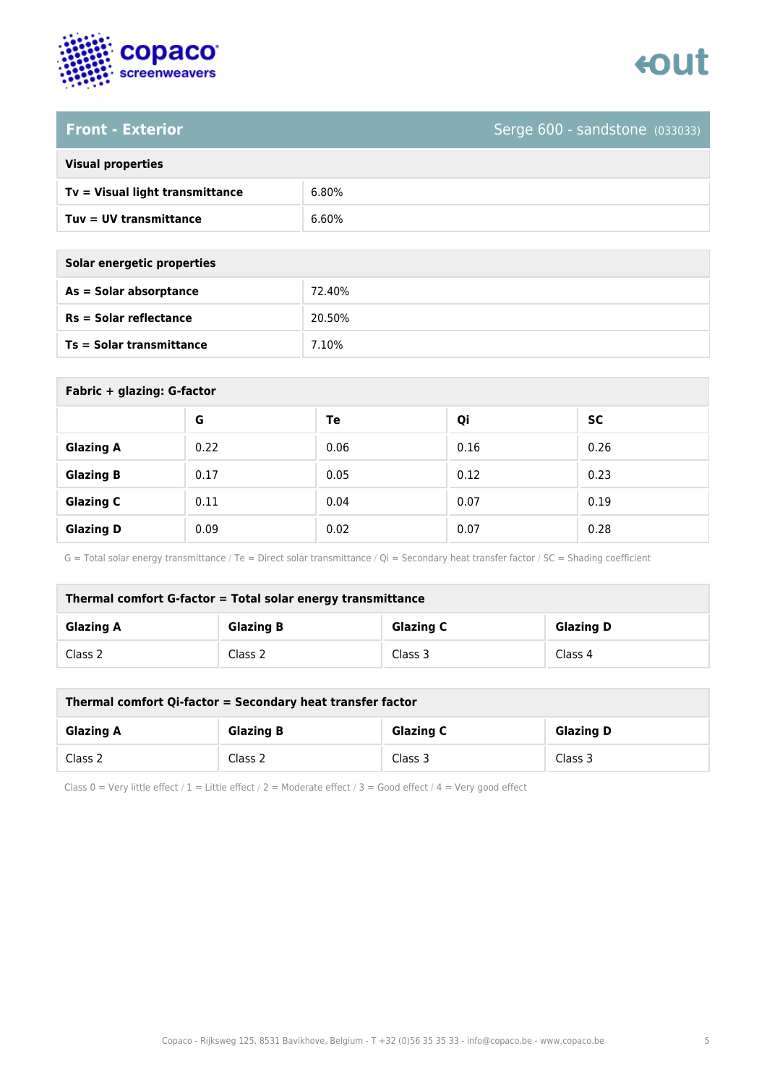



### **Front - Exterior** Serge 600 - sandstone (033033)

| <b>Visual properties</b> |  |  |
|--------------------------|--|--|
|                          |  |  |

| Tv = Visual light transmittance | 6.80% |
|---------------------------------|-------|
| Tuv = UV transmittance          | 6.60% |

| Solar energetic properties      |        |
|---------------------------------|--------|
| As = Solar absorptance          | 72.40% |
| $Rs = Solar$ reflectance        | 20.50% |
| <b>Ts = Solar transmittance</b> | 7.10%  |

| Fabric + glazing: G-factor |      |      |      |           |
|----------------------------|------|------|------|-----------|
|                            | G    | Te   | Qi   | <b>SC</b> |
| <b>Glazing A</b>           | 0.22 | 0.06 | 0.16 | 0.26      |
| <b>Glazing B</b>           | 0.17 | 0.05 | 0.12 | 0.23      |
| <b>Glazing C</b>           | 0.11 | 0.04 | 0.07 | 0.19      |
| <b>Glazing D</b>           | 0.09 | 0.02 | 0.07 | 0.28      |

G = Total solar energy transmittance / Te = Direct solar transmittance / Qi = Secondary heat transfer factor / SC = Shading coefficient

| Thermal comfort G-factor = Total solar energy transmittance                  |         |         |         |  |
|------------------------------------------------------------------------------|---------|---------|---------|--|
| <b>Glazing C</b><br><b>Glazing B</b><br><b>Glazing D</b><br><b>Glazing A</b> |         |         |         |  |
| Class 2                                                                      | Class 2 | Class 3 | Class 4 |  |

| Thermal comfort Qi-factor = Secondary heat transfer factor                   |         |         |         |  |
|------------------------------------------------------------------------------|---------|---------|---------|--|
| <b>Glazing B</b><br><b>Glazing C</b><br><b>Glazing D</b><br><b>Glazing A</b> |         |         |         |  |
| Class 2                                                                      | Class 2 | Class 3 | Class 3 |  |